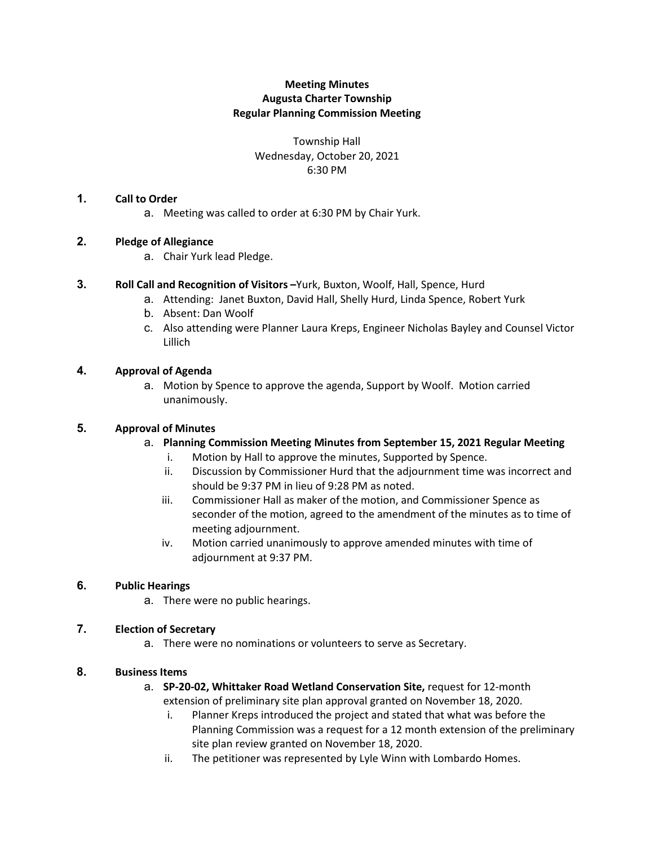## **Meeting Minutes Augusta Charter Township Regular Planning Commission Meeting**

Township Hall Wednesday, October 20, 2021 6:30 PM

### **1. Call to Order**

a. Meeting was called to order at 6:30 PM by Chair Yurk.

### **2. Pledge of Allegiance**

a. Chair Yurk lead Pledge.

### **3. Roll Call and Recognition of Visitors –**Yurk, Buxton, Woolf, Hall, Spence, Hurd

- a. Attending: Janet Buxton, David Hall, Shelly Hurd, Linda Spence, Robert Yurk
- b. Absent: Dan Woolf
- c. Also attending were Planner Laura Kreps, Engineer Nicholas Bayley and Counsel Victor Lillich

### **4. Approval of Agenda**

a. Motion by Spence to approve the agenda, Support by Woolf. Motion carried unanimously.

#### **5. Approval of Minutes**

- a. **Planning Commission Meeting Minutes from September 15, 2021 Regular Meeting**
	- i. Motion by Hall to approve the minutes, Supported by Spence.
	- ii. Discussion by Commissioner Hurd that the adjournment time was incorrect and should be 9:37 PM in lieu of 9:28 PM as noted.
	- iii. Commissioner Hall as maker of the motion, and Commissioner Spence as seconder of the motion, agreed to the amendment of the minutes as to time of meeting adjournment.
	- iv. Motion carried unanimously to approve amended minutes with time of adjournment at 9:37 PM.

## **6. Public Hearings**

a. There were no public hearings.

## **7. Election of Secretary**

a. There were no nominations or volunteers to serve as Secretary.

#### **8. Business Items**

- a. **SP-20-02, Whittaker Road Wetland Conservation Site,** request for 12-month extension of preliminary site plan approval granted on November 18, 2020.
	- i. Planner Kreps introduced the project and stated that what was before the Planning Commission was a request for a 12 month extension of the preliminary site plan review granted on November 18, 2020.
	- ii. The petitioner was represented by Lyle Winn with Lombardo Homes.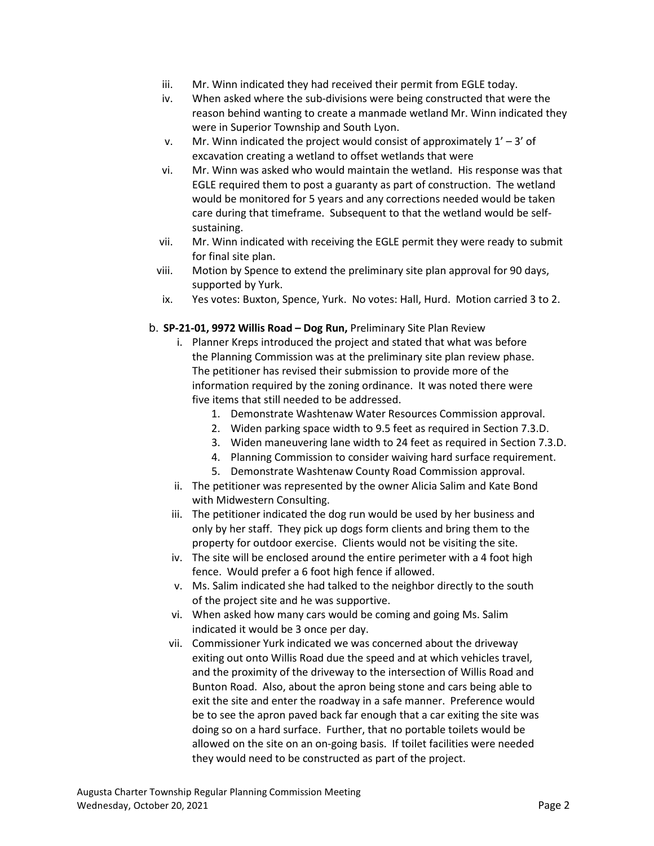- iii. Mr. Winn indicated they had received their permit from EGLE today.
- iv. When asked where the sub-divisions were being constructed that were the reason behind wanting to create a manmade wetland Mr. Winn indicated they were in Superior Township and South Lyon.
- v. Mr. Winn indicated the project would consist of approximately  $1' 3'$  of excavation creating a wetland to offset wetlands that were
- vi. Mr. Winn was asked who would maintain the wetland. His response was that EGLE required them to post a guaranty as part of construction. The wetland would be monitored for 5 years and any corrections needed would be taken care during that timeframe. Subsequent to that the wetland would be selfsustaining.
- vii. Mr. Winn indicated with receiving the EGLE permit they were ready to submit for final site plan.
- viii. Motion by Spence to extend the preliminary site plan approval for 90 days, supported by Yurk.
- ix. Yes votes: Buxton, Spence, Yurk. No votes: Hall, Hurd. Motion carried 3 to 2.

### b. **SP-21-01, 9972 Willis Road – Dog Run,** Preliminary Site Plan Review

- i. Planner Kreps introduced the project and stated that what was before the Planning Commission was at the preliminary site plan review phase. The petitioner has revised their submission to provide more of the information required by the zoning ordinance. It was noted there were five items that still needed to be addressed.
	- 1. Demonstrate Washtenaw Water Resources Commission approval.
	- 2. Widen parking space width to 9.5 feet as required in Section 7.3.D.
	- 3. Widen maneuvering lane width to 24 feet as required in Section 7.3.D.
	- 4. Planning Commission to consider waiving hard surface requirement.
	- 5. Demonstrate Washtenaw County Road Commission approval.
- ii. The petitioner was represented by the owner Alicia Salim and Kate Bond with Midwestern Consulting.
- iii. The petitioner indicated the dog run would be used by her business and only by her staff. They pick up dogs form clients and bring them to the property for outdoor exercise. Clients would not be visiting the site.
- iv. The site will be enclosed around the entire perimeter with a 4 foot high fence. Would prefer a 6 foot high fence if allowed.
- v. Ms. Salim indicated she had talked to the neighbor directly to the south of the project site and he was supportive.
- vi. When asked how many cars would be coming and going Ms. Salim indicated it would be 3 once per day.
- vii. Commissioner Yurk indicated we was concerned about the driveway exiting out onto Willis Road due the speed and at which vehicles travel, and the proximity of the driveway to the intersection of Willis Road and Bunton Road. Also, about the apron being stone and cars being able to exit the site and enter the roadway in a safe manner. Preference would be to see the apron paved back far enough that a car exiting the site was doing so on a hard surface. Further, that no portable toilets would be allowed on the site on an on-going basis. If toilet facilities were needed they would need to be constructed as part of the project.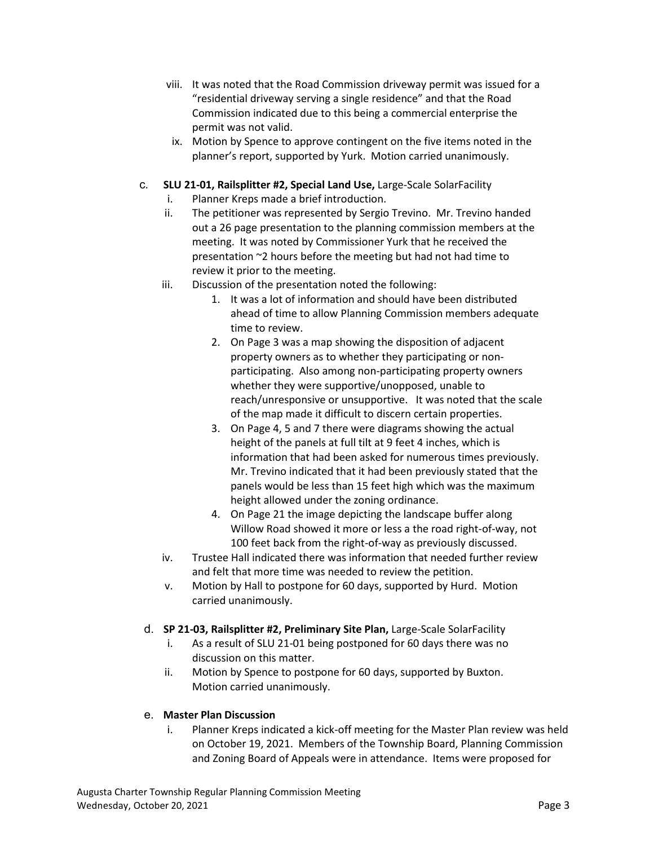- viii. It was noted that the Road Commission driveway permit was issued for a "residential driveway serving a single residence" and that the Road Commission indicated due to this being a commercial enterprise the permit was not valid.
- ix. Motion by Spence to approve contingent on the five items noted in the planner's report, supported by Yurk. Motion carried unanimously.
- c. **SLU 21-01, Railsplitter #2, Special Land Use,** Large-Scale SolarFacility
	- i. Planner Kreps made a brief introduction.
	- ii. The petitioner was represented by Sergio Trevino. Mr. Trevino handed out a 26 page presentation to the planning commission members at the meeting. It was noted by Commissioner Yurk that he received the presentation ~2 hours before the meeting but had not had time to review it prior to the meeting.
	- iii. Discussion of the presentation noted the following:
		- 1. It was a lot of information and should have been distributed ahead of time to allow Planning Commission members adequate time to review.
		- 2. On Page 3 was a map showing the disposition of adjacent property owners as to whether they participating or nonparticipating. Also among non-participating property owners whether they were supportive/unopposed, unable to reach/unresponsive or unsupportive. It was noted that the scale of the map made it difficult to discern certain properties.
		- 3. On Page 4, 5 and 7 there were diagrams showing the actual height of the panels at full tilt at 9 feet 4 inches, which is information that had been asked for numerous times previously. Mr. Trevino indicated that it had been previously stated that the panels would be less than 15 feet high which was the maximum height allowed under the zoning ordinance.
		- 4. On Page 21 the image depicting the landscape buffer along Willow Road showed it more or less a the road right-of-way, not 100 feet back from the right-of-way as previously discussed.
	- iv. Trustee Hall indicated there was information that needed further review and felt that more time was needed to review the petition.
	- v. Motion by Hall to postpone for 60 days, supported by Hurd. Motion carried unanimously.
- d. **SP 21-03, Railsplitter #2, Preliminary Site Plan,** Large-Scale SolarFacility
	- i. As a result of SLU 21-01 being postponed for 60 days there was no discussion on this matter.
	- ii. Motion by Spence to postpone for 60 days, supported by Buxton. Motion carried unanimously.

#### e. **Master Plan Discussion**

i. Planner Kreps indicated a kick-off meeting for the Master Plan review was held on October 19, 2021. Members of the Township Board, Planning Commission and Zoning Board of Appeals were in attendance. Items were proposed for